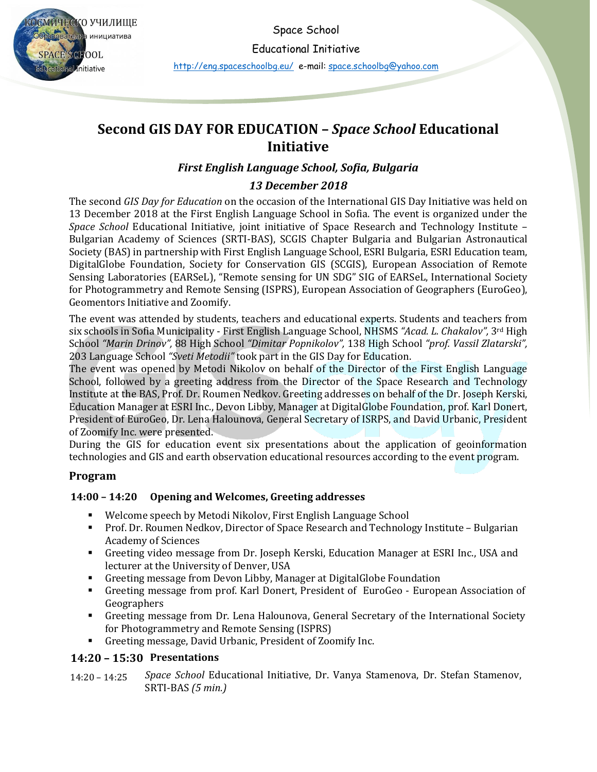Space School

СМИЧЕСКО УЧИЛИЩЕ зователн<mark>а</mark> инициатива **SPACE SCHOOL** ducational Initiative

Educational Initiative <http://eng.spaceschoolbg.eu/> e-mail: [space.schoolbg@yahoo.com](http://spaceschoolbg.eu/space.schoolbg@yahoo.com)

# **Second GIS DAY FOR EDUCATION –** *Space School* **Educational Initiative**

### *First English Language School, Sofia, Bulgaria*

#### *13 December 2018*

The second *GIS Day for Education* on the occasion of the International GIS Day Initiative was held on 13 December 2018 at the First English Language School in Sofia. The event is organized under the *Space School* Educational Initiative, joint initiative of Space Research and Technology Institute – Bulgarian Academy of Sciences (SRTI-BAS), SCGIS Chapter Bulgaria and Bulgarian Astronautical Society (BAS) in partnership with First English Language School, ESRI Bulgaria, ESRI Education team, DigitalGlobe Foundation, Society for Conservation GIS (SCGIS), European Association of Remote Sensing Laboratories (EARSeL), "Remote sensing for UN SDG" SIG of EARSeL, International Society for Photogrammetry and Remote Sensing (ISPRS), European Association of Geographers (EuroGeo), Geomentors Initiative and Zoomify.

The event was attended by students, teachers and educational experts. Students and teachers from six schools in Sofia Municipality - First English Language School, NHSMS *"Acad. L. Chakalov",* 3rd High School *"Marin Drinov",* 88 High School *"Dimitar Popnikolov",* 138 High School *"prof. Vassil Zlatarski",*  203 Language School *"Sveti Metodii"* took part in the GIS Day for Education.

The event was opened by Metodi Nikolov on behalf of the Director of the First English Language School, followed by a greeting address from the Director of the Space Research and Technology Institute at the BAS, Prof. Dr. Roumen Nedkov. Greeting addresses on behalf of the Dr. Joseph Kerski, Education Manager at ESRI Inc., Devon Libby, Manager at DigitalGlobe Foundation, prof. Karl Donert, President of EuroGeo, Dr. Lena Halounova, General Secretary of ISRPS, and David Urbanic, President of Zoomify Inc. were presented.

During the GIS for education event six presentations about the application of geoinformation technologies and GIS and earth observation educational resources according to the event program.

#### **Program**

#### **14:00 – 14:20 Opening and Welcomes, Greeting addresses**

- Welcome speech by Metodi Nikolov, First English Language School
- Prof. Dr. Roumen Nedkov, Director of Space Research and Technology Institute Bulgarian Academy of Sciences
- Greeting video message from Dr. Joseph Kerski, Education Manager at ESRI Inc., USA and lecturer at the University of Denver, USA
- Greeting message from Devon Libby, Manager at DigitalGlobe Foundation
- Greeting message from prof. Karl Donert, President of EuroGeo European Association of Geographers
- Greeting message from Dr. Lena Halounova, General Secretary of the International Society for Photogrammetry and Remote Sensing (ISPRS)
- Greeting message, David Urbanic, President of Zoomify Inc.

## **14:20 – 15:30 Presentations**

14:20 – 14:25 *Space School* Educational Initiative, Dr. Vanya Stamenova, Dr. Stefan Stamenov, SRTI-BAS *(5 min.)*